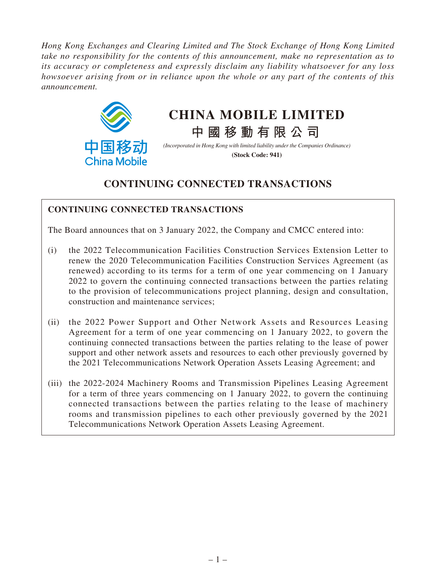*Hong Kong Exchanges and Clearing Limited and The Stock Exchange of Hong Kong Limited take no responsibility for the contents of this announcement, make no representation as to its accuracy or completeness and expressly disclaim any liability whatsoever for any loss howsoever arising from or in reliance upon the whole or any part of the contents of this announcement.*



# **CHINA MOBILE LIMITED**

**中國移動有限公司**

*(Incorporated in Hong Kong with limited liability under the Companies Ordinance)* **(Stock Code: 941)**

# **CONTINUING CONNECTED TRANSACTIONS**

# **CONTINUING CONNECTED TRANSACTIONS**

The Board announces that on 3 January 2022, the Company and CMCC entered into:

- (i) the 2022 Telecommunication Facilities Construction Services Extension Letter to renew the 2020 Telecommunication Facilities Construction Services Agreement (as renewed) according to its terms for a term of one year commencing on 1 January 2022 to govern the continuing connected transactions between the parties relating to the provision of telecommunications project planning, design and consultation, construction and maintenance services;
- (ii) the 2022 Power Support and Other Network Assets and Resources Leasing Agreement for a term of one year commencing on 1 January 2022, to govern the continuing connected transactions between the parties relating to the lease of power support and other network assets and resources to each other previously governed by the 2021 Telecommunications Network Operation Assets Leasing Agreement; and
- (iii) the 2022-2024 Machinery Rooms and Transmission Pipelines Leasing Agreement for a term of three years commencing on 1 January 2022, to govern the continuing connected transactions between the parties relating to the lease of machinery rooms and transmission pipelines to each other previously governed by the 2021 Telecommunications Network Operation Assets Leasing Agreement.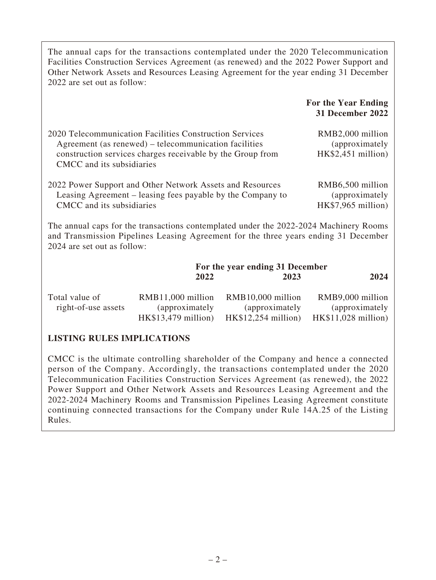| The annual caps for the transactions contemplated under the 2020 Telecommunication<br>Facilities Construction Services Agreement (as renewed) and the 2022 Power Support and<br>Other Network Assets and Resources Leasing Agreement for the year ending 31 December<br>2022 are set out as follow: |                                                                                                                                                                                |                                                             |                                                           |
|-----------------------------------------------------------------------------------------------------------------------------------------------------------------------------------------------------------------------------------------------------------------------------------------------------|--------------------------------------------------------------------------------------------------------------------------------------------------------------------------------|-------------------------------------------------------------|-----------------------------------------------------------|
|                                                                                                                                                                                                                                                                                                     |                                                                                                                                                                                |                                                             | For the Year Ending<br>31 December 2022                   |
| CMCC and its subsidiaries                                                                                                                                                                                                                                                                           | 2020 Telecommunication Facilities Construction Services<br>Agreement (as renewed) – telecommunication facilities<br>construction services charges receivable by the Group from |                                                             | RMB2,000 million<br>(approximately<br>$HK$2,451$ million) |
| 2022 Power Support and Other Network Assets and Resources<br>Leasing Agreement – leasing fees payable by the Company to<br>CMCC and its subsidiaries                                                                                                                                                |                                                                                                                                                                                |                                                             | RMB6,500 million<br>(approximately<br>HK\$7,965 million)  |
| The annual caps for the transactions contemplated under the 2022-2024 Machinery Rooms<br>and Transmission Pipelines Leasing Agreement for the three years ending 31 December<br>2024 are set out as follow:                                                                                         |                                                                                                                                                                                |                                                             |                                                           |
|                                                                                                                                                                                                                                                                                                     |                                                                                                                                                                                | For the year ending 31 December                             |                                                           |
|                                                                                                                                                                                                                                                                                                     | 2022                                                                                                                                                                           | 2023                                                        | 2024                                                      |
| Total value of<br>right-of-use assets                                                                                                                                                                                                                                                               | RMB11,000 million<br>(approximately<br>$HK$13,479$ million)                                                                                                                    | RMB10,000 million<br>(approximately<br>$HK$12,254$ million) | RMB9,000 million<br>(approximately<br>HK\$11,028 million) |
| <b>LISTING RULES IMPLICATIONS</b>                                                                                                                                                                                                                                                                   |                                                                                                                                                                                |                                                             |                                                           |
|                                                                                                                                                                                                                                                                                                     | $OMCO$ is the ultimate controlling chambelden of the Company and house a connected                                                                                             |                                                             |                                                           |

CMCC is the ultimate controlling shareholder of the Company and hence a connected person of the Company. Accordingly, the transactions contemplated under the 2020 Telecommunication Facilities Construction Services Agreement (as renewed), the 2022 Power Support and Other Network Assets and Resources Leasing Agreement and the 2022-2024 Machinery Rooms and Transmission Pipelines Leasing Agreement constitute continuing connected transactions for the Company under Rule 14A.25 of the Listing Rules.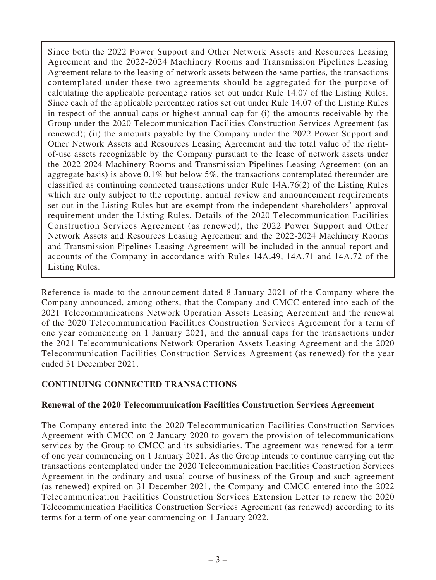Since both the 2022 Power Support and Other Network Assets and Resources Leasing Agreement and the 2022-2024 Machinery Rooms and Transmission Pipelines Leasing Agreement relate to the leasing of network assets between the same parties, the transactions contemplated under these two agreements should be aggregated for the purpose of calculating the applicable percentage ratios set out under Rule 14.07 of the Listing Rules. Since each of the applicable percentage ratios set out under Rule 14.07 of the Listing Rules in respect of the annual caps or highest annual cap for (i) the amounts receivable by the Group under the 2020 Telecommunication Facilities Construction Services Agreement (as renewed); (ii) the amounts payable by the Company under the 2022 Power Support and Other Network Assets and Resources Leasing Agreement and the total value of the rightof-use assets recognizable by the Company pursuant to the lease of network assets under the 2022-2024 Machinery Rooms and Transmission Pipelines Leasing Agreement (on an aggregate basis) is above 0.1% but below 5%, the transactions contemplated thereunder are classified as continuing connected transactions under Rule 14A.76(2) of the Listing Rules which are only subject to the reporting, annual review and announcement requirements set out in the Listing Rules but are exempt from the independent shareholders' approval requirement under the Listing Rules. Details of the 2020 Telecommunication Facilities Construction Services Agreement (as renewed), the 2022 Power Support and Other Network Assets and Resources Leasing Agreement and the 2022-2024 Machinery Rooms and Transmission Pipelines Leasing Agreement will be included in the annual report and accounts of the Company in accordance with Rules 14A.49, 14A.71 and 14A.72 of the Listing Rules.

Reference is made to the announcement dated 8 January 2021 of the Company where the Company announced, among others, that the Company and CMCC entered into each of the 2021 Telecommunications Network Operation Assets Leasing Agreement and the renewal of the 2020 Telecommunication Facilities Construction Services Agreement for a term of one year commencing on 1 January 2021, and the annual caps for the transactions under the 2021 Telecommunications Network Operation Assets Leasing Agreement and the 2020 Telecommunication Facilities Construction Services Agreement (as renewed) for the year ended 31 December 2021.

# **CONTINUING CONNECTED TRANSACTIONS**

## **Renewal of the 2020 Telecommunication Facilities Construction Services Agreement**

The Company entered into the 2020 Telecommunication Facilities Construction Services Agreement with CMCC on 2 January 2020 to govern the provision of telecommunications services by the Group to CMCC and its subsidiaries. The agreement was renewed for a term of one year commencing on 1 January 2021. As the Group intends to continue carrying out the transactions contemplated under the 2020 Telecommunication Facilities Construction Services Agreement in the ordinary and usual course of business of the Group and such agreement (as renewed) expired on 31 December 2021, the Company and CMCC entered into the 2022 Telecommunication Facilities Construction Services Extension Letter to renew the 2020 Telecommunication Facilities Construction Services Agreement (as renewed) according to its terms for a term of one year commencing on 1 January 2022.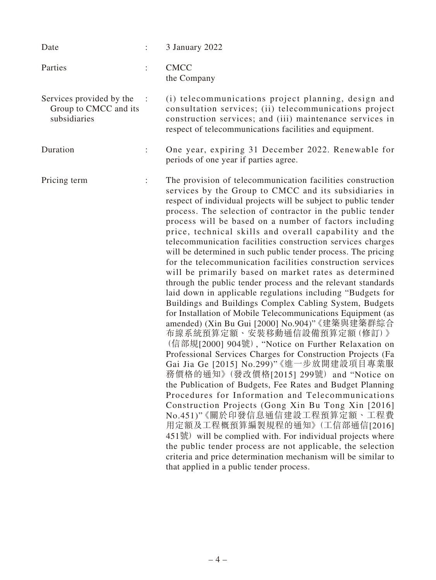| Date                                                              |                      | 3 January 2022                                                                                                                                                                                                                                                                                                                                                                                                                                                                                                                                                                                                                                                                                                                                                                                                                                                                                                                                                                                                                                                                                                                                                                                                                                                                                                                                                                                                                                                                                                                                                                                                                                                       |
|-------------------------------------------------------------------|----------------------|----------------------------------------------------------------------------------------------------------------------------------------------------------------------------------------------------------------------------------------------------------------------------------------------------------------------------------------------------------------------------------------------------------------------------------------------------------------------------------------------------------------------------------------------------------------------------------------------------------------------------------------------------------------------------------------------------------------------------------------------------------------------------------------------------------------------------------------------------------------------------------------------------------------------------------------------------------------------------------------------------------------------------------------------------------------------------------------------------------------------------------------------------------------------------------------------------------------------------------------------------------------------------------------------------------------------------------------------------------------------------------------------------------------------------------------------------------------------------------------------------------------------------------------------------------------------------------------------------------------------------------------------------------------------|
| Parties                                                           |                      | <b>CMCC</b><br>the Company                                                                                                                                                                                                                                                                                                                                                                                                                                                                                                                                                                                                                                                                                                                                                                                                                                                                                                                                                                                                                                                                                                                                                                                                                                                                                                                                                                                                                                                                                                                                                                                                                                           |
| Services provided by the<br>Group to CMCC and its<br>subsidiaries | $\ddot{\phantom{a}}$ | (i) telecommunications project planning, design and<br>consultation services; (ii) telecommunications project<br>construction services; and (iii) maintenance services in<br>respect of telecommunications facilities and equipment.                                                                                                                                                                                                                                                                                                                                                                                                                                                                                                                                                                                                                                                                                                                                                                                                                                                                                                                                                                                                                                                                                                                                                                                                                                                                                                                                                                                                                                 |
| Duration                                                          | $\ddot{\cdot}$       | One year, expiring 31 December 2022. Renewable for<br>periods of one year if parties agree.                                                                                                                                                                                                                                                                                                                                                                                                                                                                                                                                                                                                                                                                                                                                                                                                                                                                                                                                                                                                                                                                                                                                                                                                                                                                                                                                                                                                                                                                                                                                                                          |
| Pricing term                                                      | $\ddot{\phantom{a}}$ | The provision of telecommunication facilities construction<br>services by the Group to CMCC and its subsidiaries in<br>respect of individual projects will be subject to public tender<br>process. The selection of contractor in the public tender<br>process will be based on a number of factors including<br>price, technical skills and overall capability and the<br>telecommunication facilities construction services charges<br>will be determined in such public tender process. The pricing<br>for the telecommunication facilities construction services<br>will be primarily based on market rates as determined<br>through the public tender process and the relevant standards<br>laid down in applicable regulations including "Budgets for<br>Buildings and Buildings Complex Cabling System, Budgets<br>for Installation of Mobile Telecommunications Equipment (as<br>amended) (Xin Bu Gui [2000] No.904)" 《建築與建築群綜合<br>布線系統預算定額、安裝移動通信設備預算定額(修訂)》<br>(信部規[2000] 904號), "Notice on Further Relaxation on<br>Professional Services Charges for Construction Projects (Fa<br>Gai Jia Ge [2015] No.299)"《進一步放開建設項目專業服<br>務價格的通知》(發改價格[2015] 299號) and "Notice on<br>the Publication of Budgets, Fee Rates and Budget Planning<br>Procedures for Information and Telecommunications<br>Construction Projects (Gong Xin Bu Tong Xin [2016]<br>No.451)"《關於印發信息通信建設工程預算定額、工程費<br>用定額及工程概預算編製規程的通知》(工信部通信[2016]<br>451號) will be complied with. For individual projects where<br>the public tender process are not applicable, the selection<br>criteria and price determination mechanism will be similar to<br>that applied in a public tender process. |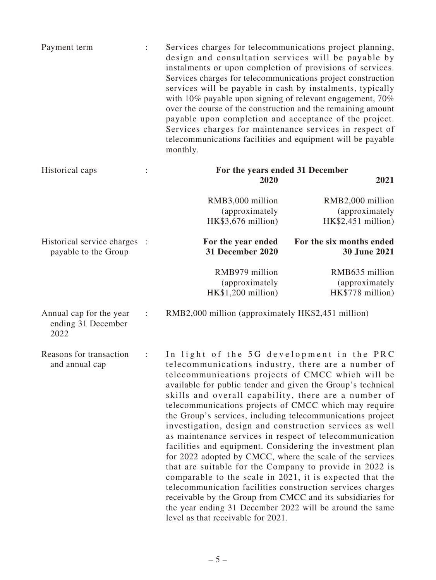| Payment term | Services charges for telecommunications project planning,    |
|--------------|--------------------------------------------------------------|
|              | design and consultation services will be payable by          |
|              | instalments or upon completion of provisions of services.    |
|              | Services charges for telecommunications project construction |
|              | services will be payable in cash by instalments, typically   |
|              | with 10% payable upon signing of relevant engagement, $70\%$ |
|              | over the course of the construction and the remaining amount |
|              | payable upon completion and acceptance of the project.       |
|              | Services charges for maintenance services in respect of      |
|              | telecommunications facilities and equipment will be payable  |
|              | monthly.                                                     |
|              |                                                              |

| Historical caps                                       |                      | For the years ended 31 December                         |                                                       |  |
|-------------------------------------------------------|----------------------|---------------------------------------------------------|-------------------------------------------------------|--|
|                                                       |                      | 2020                                                    | 2021                                                  |  |
|                                                       |                      | RMB3,000 million<br>(approximately)                     | RMB2,000 million<br>(approximately)                   |  |
|                                                       |                      | HK\$3,676 million)                                      | $HK$2,451$ million)                                   |  |
| Historical service charges :<br>payable to the Group  |                      | For the year ended<br>31 December 2020                  | For the six months ended<br><b>30 June 2021</b>       |  |
|                                                       |                      | RMB979 million<br>(approximately)<br>HK\$1,200 million) | RMB635 million<br>(approximately)<br>HK\$778 million) |  |
| Annual cap for the year<br>ending 31 December<br>2022 | $\ddot{\phantom{a}}$ | RMB2,000 million (approximately HK\$2,451 million)      |                                                       |  |

Reasons for transaction and annual cap : In light of the 5G development in the PRC telecommunications industry, there are a number of telecommunications projects of CMCC which will be available for public tender and given the Group's technical skills and overall capability, there are a number of telecommunications projects of CMCC which may require the Group's services, including telecommunications project investigation, design and construction services as well as maintenance services in respect of telecommunication facilities and equipment. Considering the investment plan for 2022 adopted by CMCC, where the scale of the services that are suitable for the Company to provide in 2022 is comparable to the scale in 2021, it is expected that the telecommunication facilities construction services charges receivable by the Group from CMCC and its subsidiaries for the year ending 31 December 2022 will be around the same level as that receivable for 2021.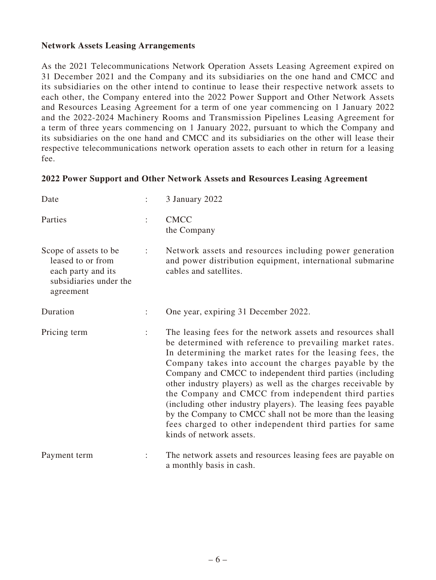#### **Network Assets Leasing Arrangements**

As the 2021 Telecommunications Network Operation Assets Leasing Agreement expired on 31 December 2021 and the Company and its subsidiaries on the one hand and CMCC and its subsidiaries on the other intend to continue to lease their respective network assets to each other, the Company entered into the 2022 Power Support and Other Network Assets and Resources Leasing Agreement for a term of one year commencing on 1 January 2022 and the 2022-2024 Machinery Rooms and Transmission Pipelines Leasing Agreement for a term of three years commencing on 1 January 2022, pursuant to which the Company and its subsidiaries on the one hand and CMCC and its subsidiaries on the other will lease their respective telecommunications network operation assets to each other in return for a leasing fee.

#### **2022 Power Support and Other Network Assets and Resources Leasing Agreement**

| Date                                                                                                    |                      | 3 January 2022                                                                                                                                                                                                                                                                                                                                                                                                                                                                                                                                                                                                                                        |
|---------------------------------------------------------------------------------------------------------|----------------------|-------------------------------------------------------------------------------------------------------------------------------------------------------------------------------------------------------------------------------------------------------------------------------------------------------------------------------------------------------------------------------------------------------------------------------------------------------------------------------------------------------------------------------------------------------------------------------------------------------------------------------------------------------|
| Parties                                                                                                 | $\ddot{\cdot}$       | <b>CMCC</b><br>the Company                                                                                                                                                                                                                                                                                                                                                                                                                                                                                                                                                                                                                            |
| Scope of assets to be<br>leased to or from<br>each party and its<br>subsidiaries under the<br>agreement | $\ddot{\cdot}$       | Network assets and resources including power generation<br>and power distribution equipment, international submarine<br>cables and satellites.                                                                                                                                                                                                                                                                                                                                                                                                                                                                                                        |
| Duration                                                                                                | $\ddot{\phantom{a}}$ | One year, expiring 31 December 2022.                                                                                                                                                                                                                                                                                                                                                                                                                                                                                                                                                                                                                  |
| Pricing term                                                                                            | $\ddot{\phantom{a}}$ | The leasing fees for the network assets and resources shall<br>be determined with reference to prevailing market rates.<br>In determining the market rates for the leasing fees, the<br>Company takes into account the charges payable by the<br>Company and CMCC to independent third parties (including<br>other industry players) as well as the charges receivable by<br>the Company and CMCC from independent third parties<br>(including other industry players). The leasing fees payable<br>by the Company to CMCC shall not be more than the leasing<br>fees charged to other independent third parties for same<br>kinds of network assets. |
| Payment term                                                                                            |                      | The network assets and resources leasing fees are payable on<br>a monthly basis in cash.                                                                                                                                                                                                                                                                                                                                                                                                                                                                                                                                                              |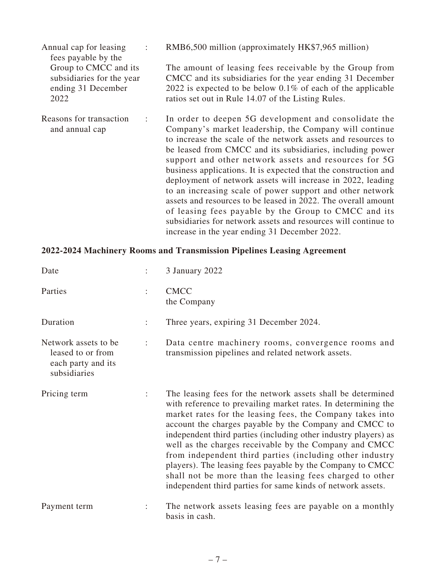| Annual cap for leasing<br>fees payable by the                                    | RMB6,500 million (approximately HK\$7,965 million)                                                                                                                                                                                                                                                                                                                                                                                                                                                                                                                                                                                                                                                                                               |
|----------------------------------------------------------------------------------|--------------------------------------------------------------------------------------------------------------------------------------------------------------------------------------------------------------------------------------------------------------------------------------------------------------------------------------------------------------------------------------------------------------------------------------------------------------------------------------------------------------------------------------------------------------------------------------------------------------------------------------------------------------------------------------------------------------------------------------------------|
| Group to CMCC and its<br>subsidiaries for the year<br>ending 31 December<br>2022 | The amount of leasing fees receivable by the Group from<br>CMCC and its subsidiaries for the year ending 31 December<br>2022 is expected to be below $0.1\%$ of each of the applicable<br>ratios set out in Rule 14.07 of the Listing Rules.                                                                                                                                                                                                                                                                                                                                                                                                                                                                                                     |
| Reasons for transaction<br>and annual cap                                        | In order to deepen 5G development and consolidate the<br>Company's market leadership, the Company will continue<br>to increase the scale of the network assets and resources to<br>be leased from CMCC and its subsidiaries, including power<br>support and other network assets and resources for 5G<br>business applications. It is expected that the construction and<br>deployment of network assets will increase in 2022, leading<br>to an increasing scale of power support and other network<br>assets and resources to be leased in 2022. The overall amount<br>of leasing fees payable by the Group to CMCC and its<br>subsidiaries for network assets and resources will continue to<br>increase in the year ending 31 December 2022. |

# **2022-2024 Machinery Rooms and Transmission Pipelines Leasing Agreement**

| Date                                                                             |                      | 3 January 2022                                                                                                                                                                                                                                                                                                                                                                                                                                                                                                                                                                                                                       |
|----------------------------------------------------------------------------------|----------------------|--------------------------------------------------------------------------------------------------------------------------------------------------------------------------------------------------------------------------------------------------------------------------------------------------------------------------------------------------------------------------------------------------------------------------------------------------------------------------------------------------------------------------------------------------------------------------------------------------------------------------------------|
| Parties                                                                          | $\ddot{\cdot}$       | <b>CMCC</b><br>the Company                                                                                                                                                                                                                                                                                                                                                                                                                                                                                                                                                                                                           |
| Duration                                                                         | ÷                    | Three years, expiring 31 December 2024.                                                                                                                                                                                                                                                                                                                                                                                                                                                                                                                                                                                              |
| Network assets to be.<br>leased to or from<br>each party and its<br>subsidiaries | $\ddot{\cdot}$       | Data centre machinery rooms, convergence rooms and<br>transmission pipelines and related network assets.                                                                                                                                                                                                                                                                                                                                                                                                                                                                                                                             |
| Pricing term                                                                     | $\ddot{\phantom{a}}$ | The leasing fees for the network assets shall be determined<br>with reference to prevailing market rates. In determining the<br>market rates for the leasing fees, the Company takes into<br>account the charges payable by the Company and CMCC to<br>independent third parties (including other industry players) as<br>well as the charges receivable by the Company and CMCC<br>from independent third parties (including other industry<br>players). The leasing fees payable by the Company to CMCC<br>shall not be more than the leasing fees charged to other<br>independent third parties for same kinds of network assets. |
| Payment term                                                                     |                      | The network assets leasing fees are payable on a monthly<br>basis in cash.                                                                                                                                                                                                                                                                                                                                                                                                                                                                                                                                                           |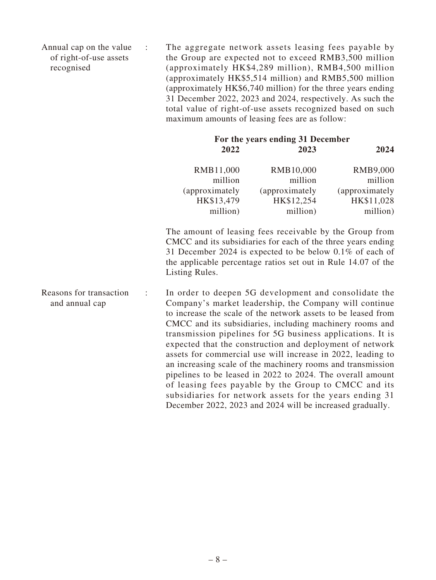Annual cap on the value of right-of-use assets recognised : The aggregate network assets leasing fees payable by the Group are expected not to exceed RMB3,500 million (approximately HK\$4,289 million), RMB4,500 million (approximately HK\$5,514 million) and RMB5,500 million (approximately HK\$6,740 million) for the three years ending 31 December 2022, 2023 and 2024, respectively. As such the total value of right-of-use assets recognized based on such maximum amounts of leasing fees are as follow:

| For the years ending 31 December |                |                |
|----------------------------------|----------------|----------------|
| 2022                             | 2023           | 2024           |
| RMB11,000                        | RMB10,000      | RMB9,000       |
| million                          | million        | million        |
| (approximately                   | (approximately | (approximately |
| HK\$13,479                       | HK\$12,254     | HK\$11,028     |
| million)                         | million)       | million)       |

The amount of leasing fees receivable by the Group from CMCC and its subsidiaries for each of the three years ending 31 December 2024 is expected to be below 0.1% of each of the applicable percentage ratios set out in Rule 14.07 of the Listing Rules.

Reasons for transaction and annual cap : In order to deepen 5G development and consolidate the Company's market leadership, the Company will continue to increase the scale of the network assets to be leased from CMCC and its subsidiaries, including machinery rooms and transmission pipelines for 5G business applications. It is expected that the construction and deployment of network assets for commercial use will increase in 2022, leading to an increasing scale of the machinery rooms and transmission pipelines to be leased in 2022 to 2024. The overall amount of leasing fees payable by the Group to CMCC and its subsidiaries for network assets for the years ending 31 December 2022, 2023 and 2024 will be increased gradually.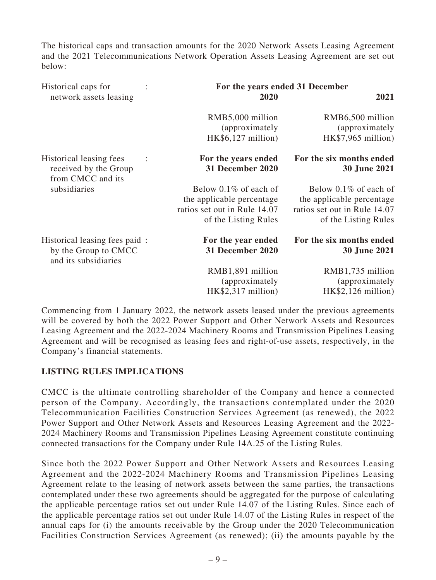The historical caps and transaction amounts for the 2020 Network Assets Leasing Agreement and the 2021 Telecommunications Network Operation Assets Leasing Agreement are set out below:

| Historical caps for                                                                           | For the years ended 31 December                                                                            |                                                                                                               |  |
|-----------------------------------------------------------------------------------------------|------------------------------------------------------------------------------------------------------------|---------------------------------------------------------------------------------------------------------------|--|
| network assets leasing                                                                        | 2020                                                                                                       | 2021                                                                                                          |  |
|                                                                                               | RMB5,000 million<br>(approximately<br>$HK$6,127$ million)                                                  | RMB6,500 million<br>(approximately)<br>$HK$7,965$ million)                                                    |  |
| Historical leasing fees<br>$\ddot{\phantom{a}}$<br>received by the Group<br>from CMCC and its | For the years ended<br>31 December 2020                                                                    | For the six months ended<br><b>30 June 2021</b>                                                               |  |
| subsidiaries                                                                                  | Below 0.1% of each of<br>the applicable percentage<br>ratios set out in Rule 14.07<br>of the Listing Rules | Below $0.1\%$ of each of<br>the applicable percentage<br>ratios set out in Rule 14.07<br>of the Listing Rules |  |
| Historical leasing fees paid:<br>by the Group to CMCC<br>and its subsidiaries                 | For the year ended<br>31 December 2020                                                                     | For the six months ended<br><b>30 June 2021</b>                                                               |  |
|                                                                                               | RMB1,891 million<br>(approximately<br>$HK$2,317$ million)                                                  | RMB1,735 million<br>(approximately)<br>$HK$2,126$ million)                                                    |  |

Commencing from 1 January 2022, the network assets leased under the previous agreements will be covered by both the 2022 Power Support and Other Network Assets and Resources Leasing Agreement and the 2022-2024 Machinery Rooms and Transmission Pipelines Leasing Agreement and will be recognised as leasing fees and right-of-use assets, respectively, in the Company's financial statements.

## **LISTING RULES IMPLICATIONS**

CMCC is the ultimate controlling shareholder of the Company and hence a connected person of the Company. Accordingly, the transactions contemplated under the 2020 Telecommunication Facilities Construction Services Agreement (as renewed), the 2022 Power Support and Other Network Assets and Resources Leasing Agreement and the 2022- 2024 Machinery Rooms and Transmission Pipelines Leasing Agreement constitute continuing connected transactions for the Company under Rule 14A.25 of the Listing Rules.

Since both the 2022 Power Support and Other Network Assets and Resources Leasing Agreement and the 2022-2024 Machinery Rooms and Transmission Pipelines Leasing Agreement relate to the leasing of network assets between the same parties, the transactions contemplated under these two agreements should be aggregated for the purpose of calculating the applicable percentage ratios set out under Rule 14.07 of the Listing Rules. Since each of the applicable percentage ratios set out under Rule 14.07 of the Listing Rules in respect of the annual caps for (i) the amounts receivable by the Group under the 2020 Telecommunication Facilities Construction Services Agreement (as renewed); (ii) the amounts payable by the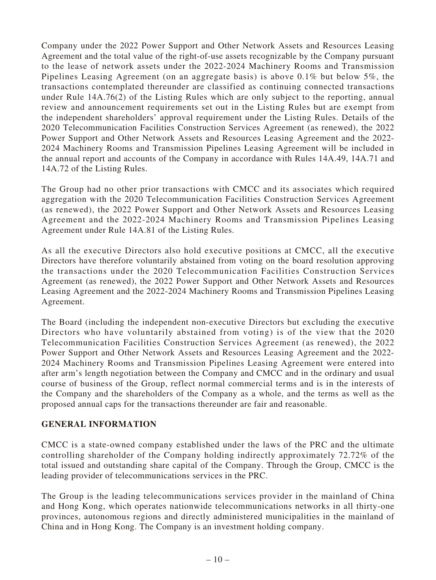Company under the 2022 Power Support and Other Network Assets and Resources Leasing Agreement and the total value of the right-of-use assets recognizable by the Company pursuant to the lease of network assets under the 2022-2024 Machinery Rooms and Transmission Pipelines Leasing Agreement (on an aggregate basis) is above 0.1% but below 5%, the transactions contemplated thereunder are classified as continuing connected transactions under Rule 14A.76(2) of the Listing Rules which are only subject to the reporting, annual review and announcement requirements set out in the Listing Rules but are exempt from the independent shareholders' approval requirement under the Listing Rules. Details of the 2020 Telecommunication Facilities Construction Services Agreement (as renewed), the 2022 Power Support and Other Network Assets and Resources Leasing Agreement and the 2022- 2024 Machinery Rooms and Transmission Pipelines Leasing Agreement will be included in the annual report and accounts of the Company in accordance with Rules 14A.49, 14A.71 and 14A.72 of the Listing Rules.

The Group had no other prior transactions with CMCC and its associates which required aggregation with the 2020 Telecommunication Facilities Construction Services Agreement (as renewed), the 2022 Power Support and Other Network Assets and Resources Leasing Agreement and the 2022-2024 Machinery Rooms and Transmission Pipelines Leasing Agreement under Rule 14A.81 of the Listing Rules.

As all the executive Directors also hold executive positions at CMCC, all the executive Directors have therefore voluntarily abstained from voting on the board resolution approving the transactions under the 2020 Telecommunication Facilities Construction Services Agreement (as renewed), the 2022 Power Support and Other Network Assets and Resources Leasing Agreement and the 2022-2024 Machinery Rooms and Transmission Pipelines Leasing Agreement.

The Board (including the independent non-executive Directors but excluding the executive Directors who have voluntarily abstained from voting) is of the view that the 2020 Telecommunication Facilities Construction Services Agreement (as renewed), the 2022 Power Support and Other Network Assets and Resources Leasing Agreement and the 2022- 2024 Machinery Rooms and Transmission Pipelines Leasing Agreement were entered into after arm's length negotiation between the Company and CMCC and in the ordinary and usual course of business of the Group, reflect normal commercial terms and is in the interests of the Company and the shareholders of the Company as a whole, and the terms as well as the proposed annual caps for the transactions thereunder are fair and reasonable.

## **GENERAL INFORMATION**

CMCC is a state-owned company established under the laws of the PRC and the ultimate controlling shareholder of the Company holding indirectly approximately 72.72% of the total issued and outstanding share capital of the Company. Through the Group, CMCC is the leading provider of telecommunications services in the PRC.

The Group is the leading telecommunications services provider in the mainland of China and Hong Kong, which operates nationwide telecommunications networks in all thirty-one provinces, autonomous regions and directly administered municipalities in the mainland of China and in Hong Kong. The Company is an investment holding company.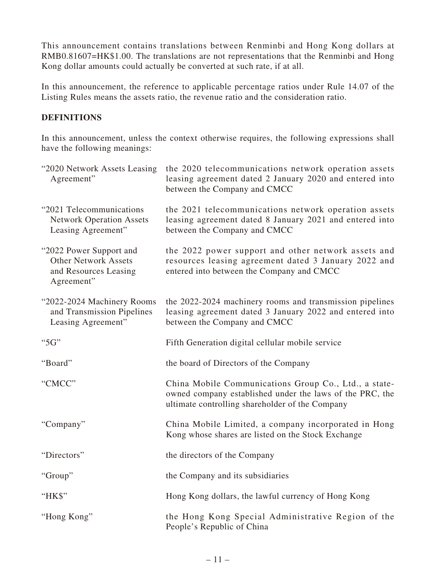This announcement contains translations between Renminbi and Hong Kong dollars at RMB0.81607=HK\$1.00. The translations are not representations that the Renminbi and Hong Kong dollar amounts could actually be converted at such rate, if at all.

In this announcement, the reference to applicable percentage ratios under Rule 14.07 of the Listing Rules means the assets ratio, the revenue ratio and the consideration ratio.

# **DEFINITIONS**

In this announcement, unless the context otherwise requires, the following expressions shall have the following meanings:

| "2020 Network Assets Leasing<br>Agreement"                                                    | the 2020 telecommunications network operation assets<br>leasing agreement dated 2 January 2020 and entered into<br>between the Company and CMCC                      |
|-----------------------------------------------------------------------------------------------|----------------------------------------------------------------------------------------------------------------------------------------------------------------------|
| "2021 Telecommunications<br><b>Network Operation Assets</b><br>Leasing Agreement"             | the 2021 telecommunications network operation assets<br>leasing agreement dated 8 January 2021 and entered into<br>between the Company and CMCC                      |
| "2022 Power Support and<br><b>Other Network Assets</b><br>and Resources Leasing<br>Agreement" | the 2022 power support and other network assets and<br>resources leasing agreement dated 3 January 2022 and<br>entered into between the Company and CMCC             |
| "2022-2024 Machinery Rooms<br>and Transmission Pipelines<br>Leasing Agreement"                | the 2022-2024 machinery rooms and transmission pipelines<br>leasing agreement dated 3 January 2022 and entered into<br>between the Company and CMCC                  |
| "5G"                                                                                          | Fifth Generation digital cellular mobile service                                                                                                                     |
| "Board"                                                                                       | the board of Directors of the Company                                                                                                                                |
| "CMCC"                                                                                        | China Mobile Communications Group Co., Ltd., a state-<br>owned company established under the laws of the PRC, the<br>ultimate controlling shareholder of the Company |
| "Company"                                                                                     | China Mobile Limited, a company incorporated in Hong<br>Kong whose shares are listed on the Stock Exchange                                                           |
| "Directors"                                                                                   | the directors of the Company                                                                                                                                         |
| "Group"                                                                                       | the Company and its subsidiaries                                                                                                                                     |
| "HK\$"                                                                                        | Hong Kong dollars, the lawful currency of Hong Kong                                                                                                                  |
| "Hong Kong"                                                                                   | the Hong Kong Special Administrative Region of the<br>People's Republic of China                                                                                     |